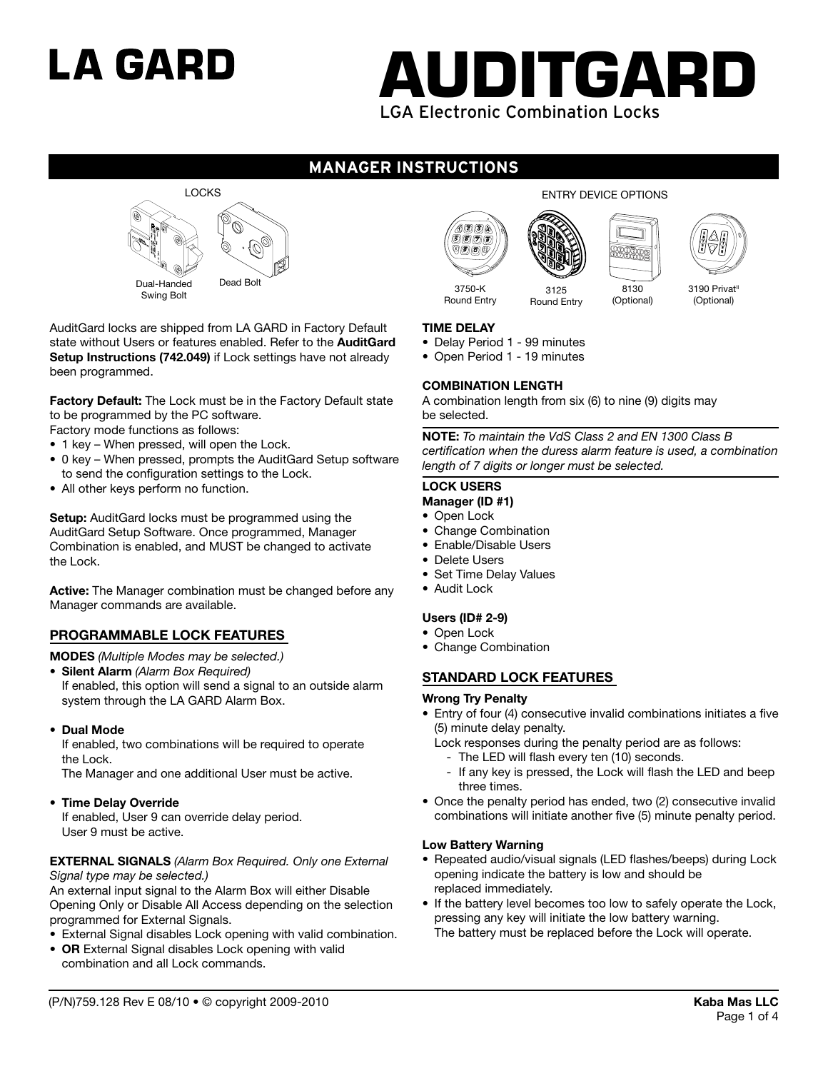# LA GARD



# **manager instructions**



AuditGard locks are shipped from LA GARD in Factory Default state without Users or features enabled. Refer to the **AuditGard Setup Instructions (742.049)** if Lock settings have not already been programmed.

**Factory Default:** The Lock must be in the Factory Default state to be programmed by the PC software.

Factory mode functions as follows:

- 1 key When pressed, will open the Lock.
- 0 key When pressed, prompts the AuditGard Setup software to send the configuration settings to the Lock.
- All other keys perform no function.

**Setup:** AuditGard locks must be programmed using the AuditGard Setup Software. Once programmed, Manager Combination is enabled, and MUST be changed to activate the Lock.

**Active:** The Manager combination must be changed before any Manager commands are available.

### **PROGRAMMABLE LOCK FEATURES**

**MODES** *(Multiple Modes may be selected.)*

- **Silent Alarm** *(Alarm Box Required)*
- If enabled, this option will send a signal to an outside alarm system through the LA GARD Alarm Box.
- **• Dual Mode**

If enabled, two combinations will be required to operate the Lock.

The Manager and one additional User must be active.

**• Time Delay Override**

If enabled, User 9 can override delay period. User 9 must be active.

#### **EXTERNAL SIGNALS** *(Alarm Box Required. Only one External Signal type may be selected.)*

An external input signal to the Alarm Box will either Disable Opening Only or Disable All Access depending on the selection programmed for External Signals.

- External Signal disables Lock opening with valid combination.
- **OR** External Signal disables Lock opening with valid combination and all Lock commands.







Round Entry

3125 Round Entry

8130 (Optional)

3190 Privat<sup>II</sup> (Optional)

#### **TIME DELAY**

• Delay Period 1 - 99 minutes

• Open Period 1 - 19 minutes

#### **COMBINATION LENGTH**

A combination length from six (6) to nine (9) digits may be selected.

**NOTE:** *To maintain the VdS Class 2 and EN 1300 Class B certification when the duress alarm feature is used, a combination length of 7 digits or longer must be selected.*

#### **LOCK USERS**

- **Manager (ID #1)**
- Open Lock
- Change Combination
- Enable/Disable Users
- Delete Users
- Set Time Delay Values
- Audit Lock

#### **Users (ID# 2-9)**

- Open Lock
- Change Combination

### **STANDARD LOCK FEATURES**

#### **Wrong Try Penalty**

- Entry of four (4) consecutive invalid combinations initiates a five (5) minute delay penalty.
	- Lock responses during the penalty period are as follows:
		- The LED will flash every ten (10) seconds.
		- If any key is pressed, the Lock will flash the LED and beep three times.
- Once the penalty period has ended, two (2) consecutive invalid combinations will initiate another five (5) minute penalty period.

#### **Low Battery Warning**

- Repeated audio/visual signals (LED flashes/beeps) during Lock opening indicate the battery is low and should be replaced immediately.
- If the battery level becomes too low to safely operate the Lock, pressing any key will initiate the low battery warning. The battery must be replaced before the Lock will operate.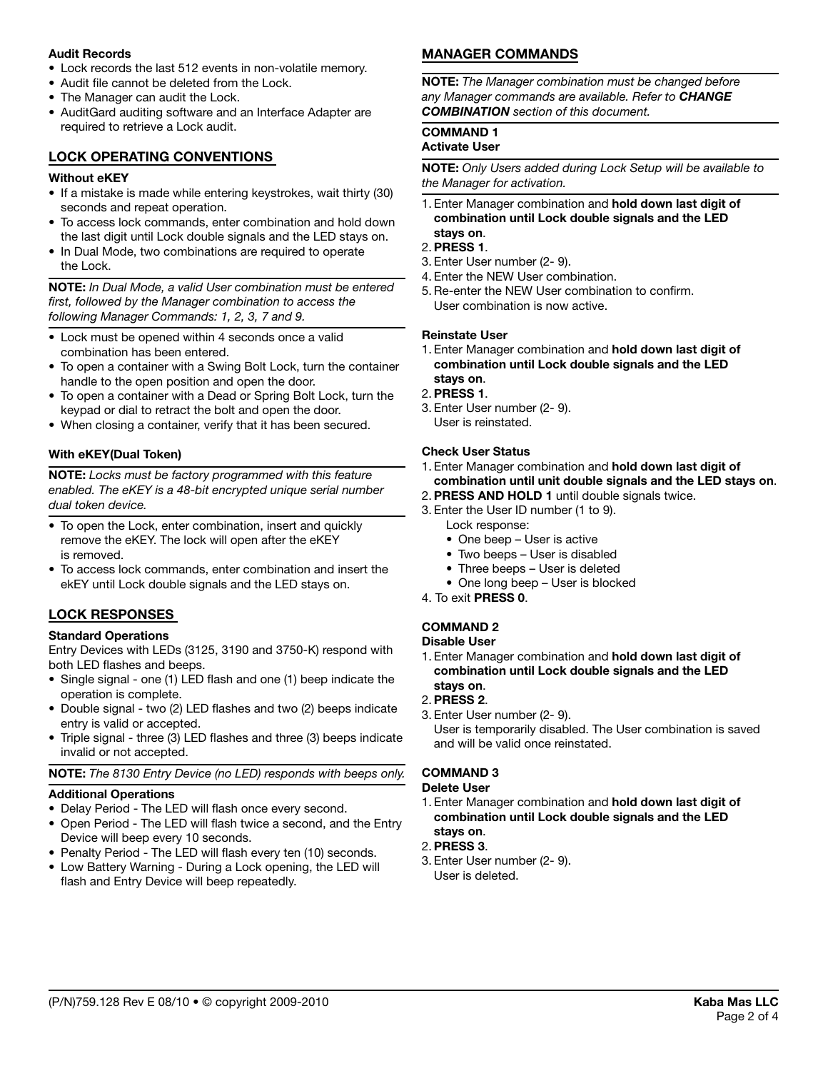#### **Audit Records**

- Lock records the last 512 events in non-volatile memory.
- Audit file cannot be deleted from the Lock.
- The Manager can audit the Lock.
- AuditGard auditing software and an Interface Adapter are required to retrieve a Lock audit.

#### **LOCK OPERATING CONVENTIONS**

#### **Without eKEY**

- If a mistake is made while entering keystrokes, wait thirty (30) seconds and repeat operation.
- To access lock commands, enter combination and hold down the last digit until Lock double signals and the LED stays on.
- In Dual Mode, two combinations are required to operate the Lock.

**NOTE:** *In Dual Mode, a valid User combination must be entered first, followed by the Manager combination to access the following Manager Commands: 1, 2, 3, 7 and 9.*

- Lock must be opened within 4 seconds once a valid combination has been entered.
- To open a container with a Swing Bolt Lock, turn the container handle to the open position and open the door.
- To open a container with a Dead or Spring Bolt Lock, turn the keypad or dial to retract the bolt and open the door.
- When closing a container, verify that it has been secured.

#### **With eKEY(Dual Token)**

**NOTE:** Locks must be factory programmed with this feature *enabled. The eKEY is a 48-bit encrypted unique serial number dual token device.* 

- To open the Lock, enter combination, insert and quickly remove the eKEY. The lock will open after the eKEY is removed.
- To access lock commands, enter combination and insert the ekEY until Lock double signals and the LED stays on.

### **LOCK RESPONSES**

#### **Standard Operations**

Entry Devices with LEDs (3125, 3190 and 3750-K) respond with both LED flashes and beeps.

- Single signal one (1) LED flash and one (1) beep indicate the operation is complete.
- Double signal two (2) LED flashes and two (2) beeps indicate entry is valid or accepted.
- Triple signal three (3) LED flashes and three (3) beeps indicate invalid or not accepted.

#### **Note:** *The 8130 Entry Device (no LED) responds with beeps only.*

### **Additional Operations**

- Delay Period The LED will flash once every second.
- Open Period The LED will flash twice a second, and the Entry Device will beep every 10 seconds.
- Penalty Period The LED will flash every ten (10) seconds.
- Low Battery Warning During a Lock opening, the LED will flash and Entry Device will beep repeatedly.

# **MANAGER COMMANDS**

**NOTE:** *The Manager combination must be changed before any Manager commands are available. Refer to change combination section of this document.* 

# **COMMAND 1**

# **Activate User**

**NOTE:** *Only Users added during Lock Setup will be available to the Manager for activation.* 

1. Enter Manager combination and **hold down last digit of combination until Lock double signals and the LED stays on**.

#### 2.**PRESS 1**.

- 3. Enter User number (2- 9).
- 4. Enter the NEW User combination.
- 5.Re-enter the NEW User combination to confirm. User combination is now active.

#### **Reinstate User**

- 1. Enter Manager combination and **hold down last digit of combination until Lock double signals and the LED stays on**.
- 2.**PRESS 1**.
- 3. Enter User number (2- 9). User is reinstated.

#### **Check User Status**

- 1. Enter Manager combination and **hold down last digit of combination until unit double signals and the LED stays on**.
- 2.**PRESS AND HOLD 1** until double signals twice.
- 3. Enter the User ID number (1 to 9). Lock response:
	- One beep User is active
	- Two beeps User is disabled
	- Three beeps User is deleted
	- One long beep User is blocked
- 4. To exit **PRESS 0**.

# **COMMAND 2**

#### **Disable User**

- 1. Enter Manager combination and **hold down last digit of combination until Lock double signals and the LED stays on**.
- 2.**PRESS 2**.
- 3. Enter User number (2- 9). User is temporarily disabled. The User combination is saved and will be valid once reinstated.

#### **COMMAND 3**

#### **Delete User**

- 1. Enter Manager combination and **hold down last digit of combination until Lock double signals and the LED stays on**.
- 2.**PRESS 3**.
- 3. Enter User number (2- 9). User is deleted.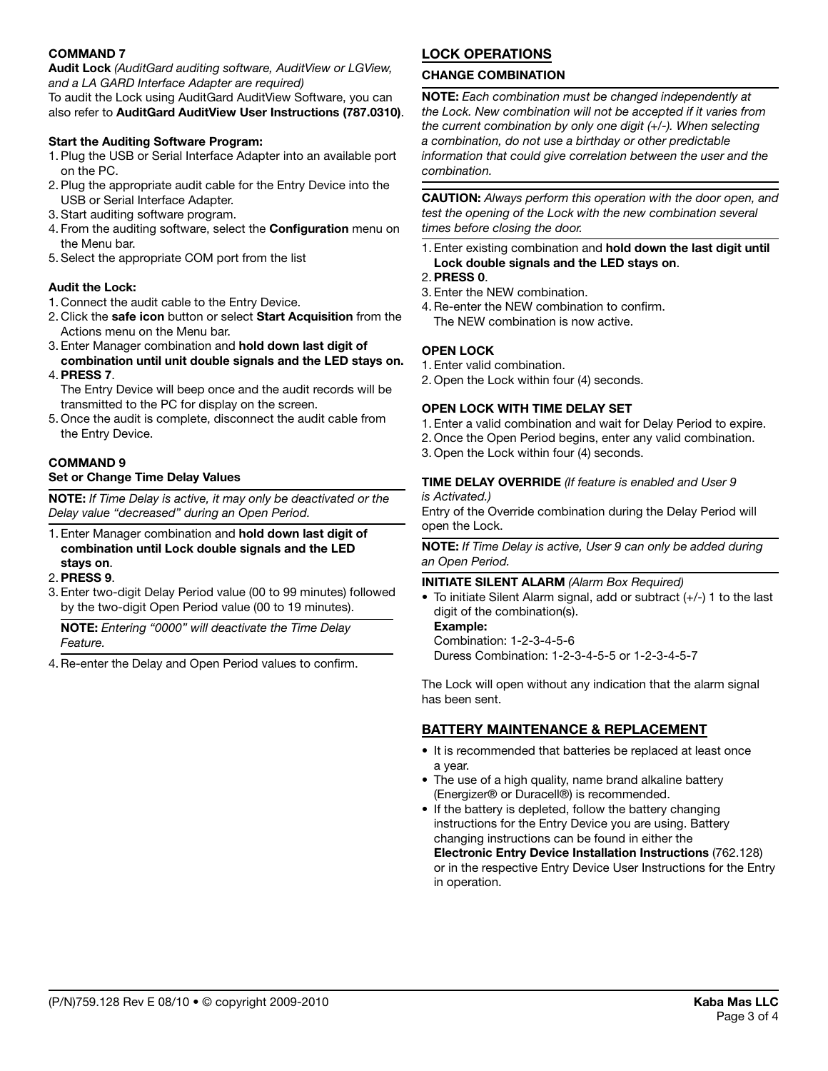#### **COMMAND 7**

**Audit Lock** *(AuditGard auditing software, AuditView or LGView, and a LA GARD Interface Adapter are required)* 

To audit the Lock using AuditGard AuditView Software, you can also refer to **AuditGard AuditView User Instructions (787.0310)**.

## **Start the Auditing Software Program:**

- 1. Plug the USB or Serial Interface Adapter into an available port on the PC.
- 2. Plug the appropriate audit cable for the Entry Device into the USB or Serial Interface Adapter.
- 3. Start auditing software program.
- 4. From the auditing software, select the **Configuration** menu on the Menu bar.
- 5. Select the appropriate COM port from the list

# **Audit the Lock:**

- 1. Connect the audit cable to the Entry Device.
- 2. Click the **safe icon** button or select **Start Acquisition** from the Actions menu on the Menu bar.
- 3. Enter Manager combination and **hold down last digit of combination until unit double signals and the LED stays on.**
- 4.**PRESS 7**.
- The Entry Device will beep once and the audit records will be transmitted to the PC for display on the screen.
- 5. Once the audit is complete, disconnect the audit cable from the Entry Device.

#### **COMMAND 9**

#### **Set or Change Time Delay Values**

**NOTE:** *If Time Delay is active, it may only be deactivated or the Delay value "decreased" during an Open Period.* 

1. Enter Manager combination and **hold down last digit of combination until Lock double signals and the LED stays on**.

#### 2.**PRESS 9**.

3. Enter two-digit Delay Period value (00 to 99 minutes) followed by the two-digit Open Period value (00 to 19 minutes).

**NOTE:** *Entering "0000" will deactivate the Time Delay Feature.* 

4.Re-enter the Delay and Open Period values to confirm.

# **LOCK OPERATIONS**

#### **CHANGE COMBINATION**

**NOTE:** *Each combination must be changed independently at the Lock. New combination will not be accepted if it varies from the current combination by only one digit (+/-). When selecting a combination, do not use a birthday or other predictable information that could give correlation between the user and the combination.* 

**CAUTION:** *Always perform this operation with the door open, and test the opening of the Lock with the new combination several times before closing the door.*

- 1. Enter existing combination and **hold down the last digit until Lock double signals and the LED stays on**.
- 2.**Press 0**.
- 3. Enter the NEW combination.
- 4.Re-enter the NEW combination to confirm. The NEW combination is now active.

#### **OPEN LOCK**

- 1. Enter valid combination.
- 2. Open the Lock within four (4) seconds.

#### **OPEN LOCK WITH TIME DELAY SET**

- 1. Enter a valid combination and wait for Delay Period to expire.
- 2. Once the Open Period begins, enter any valid combination.
- 3. Open the Lock within four (4) seconds.

### **TIME DELAY OVERRIDE** *(If feature is enabled and User 9*

*is Activated.)* 

Entry of the Override combination during the Delay Period will open the Lock.

**NOTE:** *If Time Delay is active, User 9 can only be added during an Open Period.*

#### **INITIATE SILENT ALARM** *(Alarm Box Required)*

• To initiate Silent Alarm signal, add or subtract (+/-) 1 to the last digit of the combination(s).

**Example:**  Combination: 1-2-3-4-5-6 Duress Combination: 1-2-3-4-5-5 or 1-2-3-4-5-7

The Lock will open without any indication that the alarm signal has been sent.

# **BATTERY MAINTENANCE & REPLACEMENT**

- It is recommended that batteries be replaced at least once a year.
- The use of a high quality, name brand alkaline battery (Energizer® or Duracell®) is recommended.
- If the battery is depleted, follow the battery changing instructions for the Entry Device you are using. Battery changing instructions can be found in either the **Electronic Entry Device Installation Instructions** (762.128) or in the respective Entry Device User Instructions for the Entry in operation.